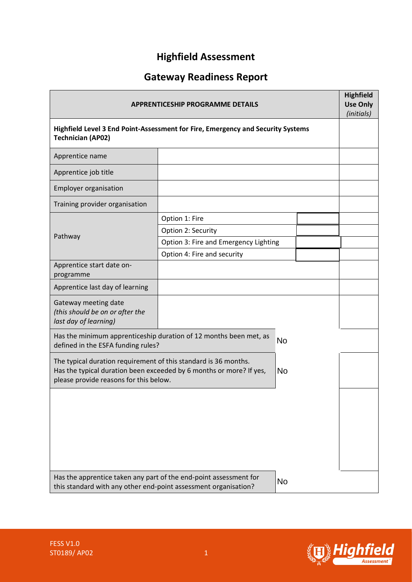# **Highfield Assessment**

# **Gateway Readiness Report**

| <b>APPRENTICESHIP PROGRAMME DETAILS</b>                                                                                                                                                       |                                       |  |  | <b>Highfield</b><br><b>Use Only</b><br>(initials) |
|-----------------------------------------------------------------------------------------------------------------------------------------------------------------------------------------------|---------------------------------------|--|--|---------------------------------------------------|
| Highfield Level 3 End Point-Assessment for Fire, Emergency and Security Systems<br><b>Technician (AP02)</b>                                                                                   |                                       |  |  |                                                   |
| Apprentice name                                                                                                                                                                               |                                       |  |  |                                                   |
| Apprentice job title                                                                                                                                                                          |                                       |  |  |                                                   |
| <b>Employer organisation</b>                                                                                                                                                                  |                                       |  |  |                                                   |
| Training provider organisation                                                                                                                                                                |                                       |  |  |                                                   |
|                                                                                                                                                                                               | Option 1: Fire                        |  |  |                                                   |
| Pathway                                                                                                                                                                                       | Option 2: Security                    |  |  |                                                   |
|                                                                                                                                                                                               | Option 3: Fire and Emergency Lighting |  |  |                                                   |
|                                                                                                                                                                                               | Option 4: Fire and security           |  |  |                                                   |
| Apprentice start date on-<br>programme                                                                                                                                                        |                                       |  |  |                                                   |
| Apprentice last day of learning                                                                                                                                                               |                                       |  |  |                                                   |
| Gateway meeting date<br>(this should be on or after the<br>last day of learning)                                                                                                              |                                       |  |  |                                                   |
| Has the minimum apprenticeship duration of 12 months been met, as<br><b>No</b><br>defined in the ESFA funding rules?                                                                          |                                       |  |  |                                                   |
| The typical duration requirement of this standard is 36 months.<br>Has the typical duration been exceeded by 6 months or more? If yes,<br><b>No</b><br>please provide reasons for this below. |                                       |  |  |                                                   |
|                                                                                                                                                                                               |                                       |  |  |                                                   |
| Has the apprentice taken any part of the end-point assessment for<br><b>No</b><br>this standard with any other end-point assessment organisation?                                             |                                       |  |  |                                                   |

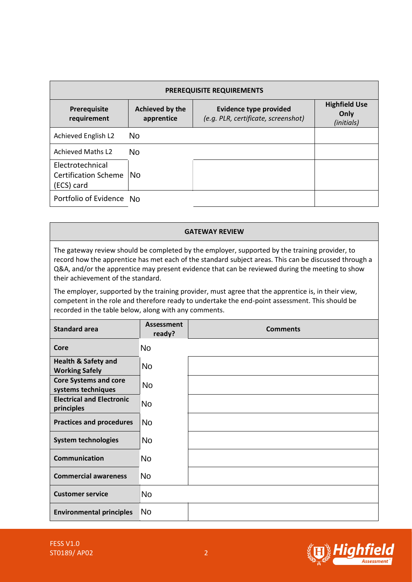| <b>PREREQUISITE REQUIREMENTS</b>                              |                               |                                                                      |                                            |
|---------------------------------------------------------------|-------------------------------|----------------------------------------------------------------------|--------------------------------------------|
| Prerequisite<br>requirement                                   | Achieved by the<br>apprentice | <b>Evidence type provided</b><br>(e.g. PLR, certificate, screenshot) | <b>Highfield Use</b><br>Only<br>(initials) |
| Achieved English L2                                           | <b>No</b>                     |                                                                      |                                            |
| <b>Achieved Maths L2</b>                                      | <b>No</b>                     |                                                                      |                                            |
| Electrotechnical<br><b>Certification Scheme</b><br>(ECS) card | <b>No</b>                     |                                                                      |                                            |
| Portfolio of Evidence No                                      |                               |                                                                      |                                            |

#### **GATEWAY REVIEW**

| Portfolio of Evidence No                                                                                                                                                                                                                                                                                                                         |                             |                       |  |
|--------------------------------------------------------------------------------------------------------------------------------------------------------------------------------------------------------------------------------------------------------------------------------------------------------------------------------------------------|-----------------------------|-----------------------|--|
|                                                                                                                                                                                                                                                                                                                                                  |                             |                       |  |
|                                                                                                                                                                                                                                                                                                                                                  |                             | <b>GATEWAY REVIEW</b> |  |
| The gateway review should be completed by the employer, supported by the training provider, to<br>record how the apprentice has met each of the standard subject areas. This can be discussed through a<br>Q&A, and/or the apprentice may present evidence that can be reviewed during the meeting to show<br>their achievement of the standard. |                             |                       |  |
| The employer, supported by the training provider, must agree that the apprentice is, in their view,<br>competent in the role and therefore ready to undertake the end-point assessment. This should be<br>recorded in the table below, along with any comments.                                                                                  |                             |                       |  |
| <b>Standard area</b>                                                                                                                                                                                                                                                                                                                             | <b>Assessment</b><br>ready? | <b>Comments</b>       |  |
| Core                                                                                                                                                                                                                                                                                                                                             | <b>No</b>                   |                       |  |
| <b>Health &amp; Safety and</b><br><b>Working Safely</b>                                                                                                                                                                                                                                                                                          | <b>No</b>                   |                       |  |
| <b>Core Systems and core</b><br>systems techniques                                                                                                                                                                                                                                                                                               | No                          |                       |  |
| <b>Electrical and Electronic</b><br>principles                                                                                                                                                                                                                                                                                                   | <b>No</b>                   |                       |  |
| <b>Practices and procedures</b>                                                                                                                                                                                                                                                                                                                  | <b>No</b>                   |                       |  |
| <b>System technologies</b>                                                                                                                                                                                                                                                                                                                       | <b>No</b>                   |                       |  |
| <b>Communication</b>                                                                                                                                                                                                                                                                                                                             | <b>No</b>                   |                       |  |
| <b>Commercial awareness</b>                                                                                                                                                                                                                                                                                                                      | No                          |                       |  |
| <b>Customer service</b>                                                                                                                                                                                                                                                                                                                          | <b>No</b>                   |                       |  |
| <b>Environmental principles</b>                                                                                                                                                                                                                                                                                                                  | No.                         |                       |  |

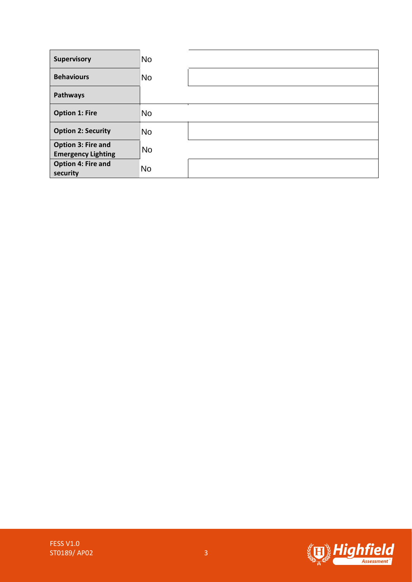| <b>Supervisory</b>                              | <b>No</b> |  |
|-------------------------------------------------|-----------|--|
| <b>Behaviours</b>                               | <b>No</b> |  |
| Pathways                                        |           |  |
| <b>Option 1: Fire</b>                           | <b>No</b> |  |
| <b>Option 2: Security</b>                       | <b>No</b> |  |
| Option 3: Fire and<br><b>Emergency Lighting</b> | <b>No</b> |  |
| <b>Option 4: Fire and</b><br>security           | <b>No</b> |  |